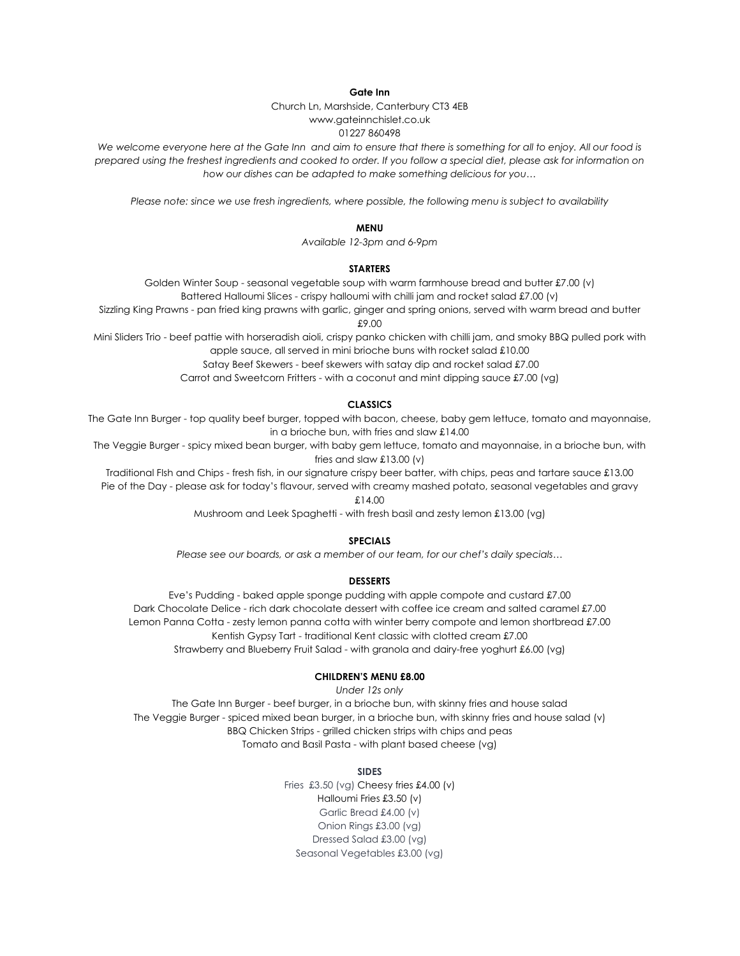**Gate Inn**

Church Ln, Marshside, Canterbury CT3 4EB www.gateinnchislet.co.uk

# 01227 860498

We welcome everyone here at the Gate Inn and aim to ensure that there is something for all to enjoy. All our food is prepared using the freshest ingredients and cooked to order. If you follow a special diet, please ask for information on *how our dishes can be adapted to make something delicious for you…*

*Please note: since we use fresh ingredients, where possible, the following menu is subject to availability*

### **MENU**

*Available 12-3pm and 6-9pm*

# **STARTERS**

Golden Winter Soup - seasonal vegetable soup with warm farmhouse bread and butter £7.00 (v) Battered Halloumi Slices - crispy halloumi with chilli jam and rocket salad £7.00 (v)

Sizzling King Prawns - pan fried king prawns with garlic, ginger and spring onions, served with warm bread and butter £9.00

Mini Sliders Trio - beef pattie with horseradish aioli, crispy panko chicken with chilli jam, and smoky BBQ pulled pork with apple sauce, all served in mini brioche buns with rocket salad £10.00

Satay Beef Skewers - beef skewers with satay dip and rocket salad £7.00

Carrot and Sweetcorn Fritters - with a coconut and mint dipping sauce £7.00 (vg)

### **CLASSICS**

The Gate Inn Burger - top quality beef burger, topped with bacon, cheese, baby gem lettuce, tomato and mayonnaise, in a brioche bun, with fries and slaw £14.00

The Veggie Burger - spicy mixed bean burger, with baby gem lettuce, tomato and mayonnaise, in a brioche bun, with fries and slaw £13.00 (v)

Traditional FIsh and Chips - fresh fish, in our signature crispy beer batter, with chips, peas and tartare sauce £13.00 Pie of the Day - please ask for today's flavour, served with creamy mashed potato, seasonal vegetables and gravy

£14.00

Mushroom and Leek Spaghetti - with fresh basil and zesty lemon £13.00 (vg)

#### **SPECIALS**

*Please see our boards, or ask a member of our team, for our chef's daily specials…*

#### **DESSERTS**

Eve's Pudding - baked apple sponge pudding with apple compote and custard £7.00 Dark Chocolate Delice - rich dark chocolate dessert with coffee ice cream and salted caramel £7.00 Lemon Panna Cotta - zesty lemon panna cotta with winter berry compote and lemon shortbread £7.00 Kentish Gypsy Tart - traditional Kent classic with clotted cream £7.00 Strawberry and Blueberry Fruit Salad - with granola and dairy-free yoghurt £6.00 (vg)

#### **CHILDREN'S MENU £8.00**

*Under 12s only*

The Gate Inn Burger - beef burger, in a brioche bun, with skinny fries and house salad The Veggie Burger - spiced mixed bean burger, in a brioche bun, with skinny fries and house salad (v) BBQ Chicken Strips - grilled chicken strips with chips and peas Tomato and Basil Pasta - with plant based cheese (vg)

### **SIDES**

Fries £3.50 (vg) Cheesy fries £4.00 (v) Halloumi Fries £3.50 (v) Garlic Bread £4.00 (v) Onion Rings £3.00 (vg) Dressed Salad £3.00 (vg) Seasonal Vegetables £3.00 (vg)